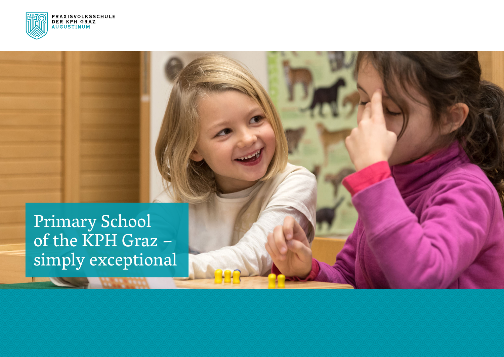

Primary School<br>of the KPH Graz simply exceptional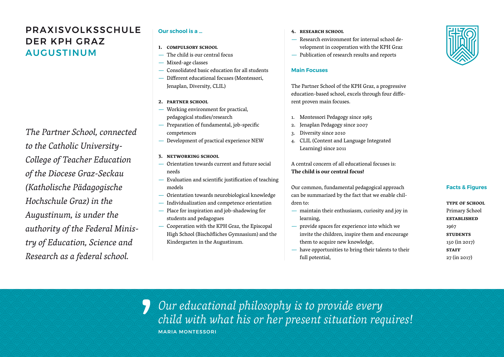# PRAXISVOLKSSCHULE DER KPH GRAZ AUGUSTINUM

*The Partner School, connected to the Catholic University-College of Teacher Education of the Diocese Graz-Seckau (Katholische Pädagogische Hochschule Graz) in the Augustinum, is under the authority of the Federal Ministry of Education, Science and Research as a federal school.*

## **Our school is a …**

- **1. compulsory school**
	- The child is our central focus
- Mixed-age classes
- Consolidated basic education for all students
- Different educational focuses (Montessori, Jenaplan, Diversity, CLIL)
- **2. partner school**
- Working environment for practical, pedagogical studies/research
- Preparation of fundamental, job-specific competences
- Development of practical experience NEW
- **3. networking school**
- Orientation towards current and future social needs
- Evaluation and scientific justification of teaching models
- Orientation towards neurobiological knowledge
- Individualization and competence orientation
- Place for inspiration and job-shadowing for students and pedagogues
- Cooperation with the KPH Graz, the Episcopal High School (Bischöfliches Gymnasium) and the Kindergarten in the Augustinum.
- **4. research school**
- Research environment for internal school development in cooperation with the KPH Graz
- Publication of research results and reports

### **Main Focuses**

The Partner School of the KPH Graz, a progressive education-based school, excels through four different proven main focuses.

- 1. Montessori Pedagogy since 1985
- 2. Jenaplan Pedagogy since 2007
- 3. Diversity since 2010
- 4. CLIL (Content and Language Integrated Learning) since 2011

A central concern of all educational focuses is: **The child is our central focus!**

Our common, fundamental pedagogical approach can be summarized by the fact that we enable children to:

- maintain their enthusiasm, curiosity and joy in learning,
- provide spaces for experience into which we invite the children, inspire them and encourage them to acquire new knowledge,
- have opportunities to bring their talents to their full potential,

#### **Facts & Figures**

**type of school** Primary School **established** 1967 **students** 150 (in 2017) **STAFF** 27 (in 2017)

*Our educational philosophy is to provide every child with what his or her present situation requires!* MARIA MONTESSORI 5)